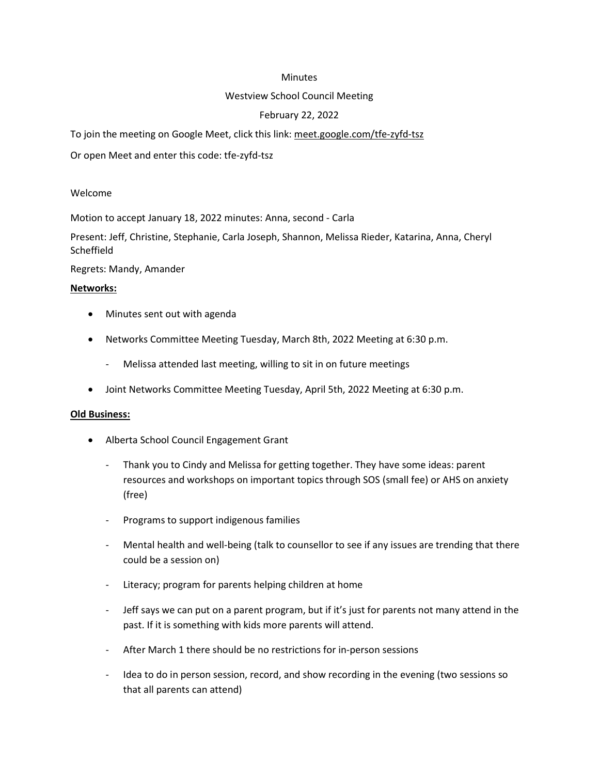#### **Minutes**

#### Westview School Council Meeting

# February 22, 2022

To join the meeting on Google Meet, click this link: meet.google.com/tfe-zyfd-tsz

Or open Meet and enter this code: tfe-zyfd-tsz

#### Welcome

Motion to accept January 18, 2022 minutes: Anna, second - Carla

Present: Jeff, Christine, Stephanie, Carla Joseph, Shannon, Melissa Rieder, Katarina, Anna, Cheryl **Scheffield** 

Regrets: Mandy, Amander

#### Networks:

- Minutes sent out with agenda
- Networks Committee Meeting Tuesday, March 8th, 2022 Meeting at 6:30 p.m.
	- Melissa attended last meeting, willing to sit in on future meetings
- Joint Networks Committee Meeting Tuesday, April 5th, 2022 Meeting at 6:30 p.m.

#### Old Business:

- Alberta School Council Engagement Grant
	- Thank you to Cindy and Melissa for getting together. They have some ideas: parent resources and workshops on important topics through SOS (small fee) or AHS on anxiety (free)
	- Programs to support indigenous families
	- Mental health and well-being (talk to counsellor to see if any issues are trending that there could be a session on)
	- Literacy; program for parents helping children at home
	- Jeff says we can put on a parent program, but if it's just for parents not many attend in the past. If it is something with kids more parents will attend.
	- After March 1 there should be no restrictions for in-person sessions
	- Idea to do in person session, record, and show recording in the evening (two sessions so that all parents can attend)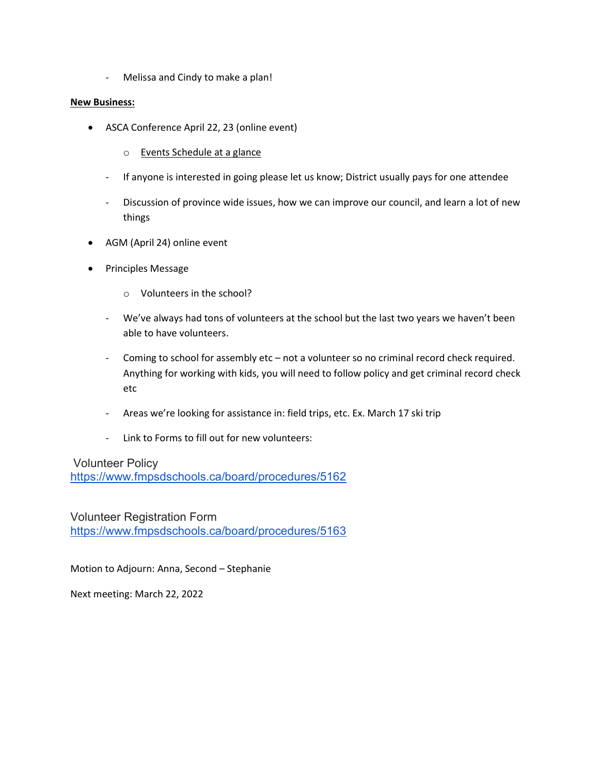- Melissa and Cindy to make a plan!

#### New Business:

- ASCA Conference April 22, 23 (online event)
	- o Events Schedule at a glance
	- If anyone is interested in going please let us know; District usually pays for one attendee
	- Discussion of province wide issues, how we can improve our council, and learn a lot of new things
- AGM (April 24) online event
- Principles Message
	- o Volunteers in the school?
	- We've always had tons of volunteers at the school but the last two years we haven't been able to have volunteers.
	- Coming to school for assembly etc not a volunteer so no criminal record check required. Anything for working with kids, you will need to follow policy and get criminal record check etc
	- Areas we're looking for assistance in: field trips, etc. Ex. March 17 ski trip
	- Link to Forms to fill out for new volunteers:

Volunteer Policy https://www.fmpsdschools.ca/board/procedures/5162

Volunteer Registration Form https://www.fmpsdschools.ca/board/procedures/5163

Motion to Adjourn: Anna, Second – Stephanie

Next meeting: March 22, 2022